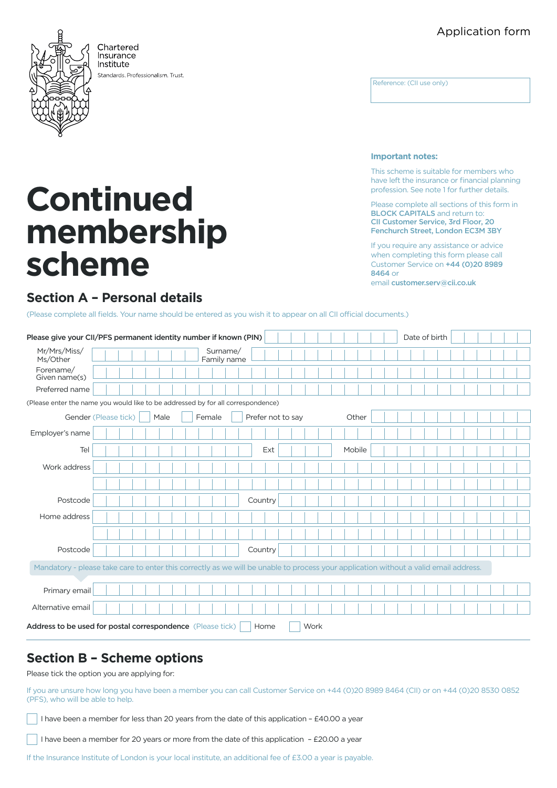# Application form



Chartered **Insurance** Institute

Standards Professionalism Trust.

Reference: (CII use only)

#### **Important notes:**

This scheme is suitable for members who have left the insurance or financial planning profession. See note 1 for further details.

Please complete all sections of this form in BLOCK CAPITALS and return to: CII Customer Service, 3rd Floor, 20 Fenchurch Street, London EC3M 3BY

If you require any assistance or advice when completing this form please call Customer Service on +44 (0)20 8989 8464 or

email [customer.serv@cii.co.uk](mailto:customer.serv%40cii.co.uk?subject=)

## **Section A – Personal details**

**scheme**

**Continued** 

**membership** 

(Please complete all fields. Your name should be entered as you wish it to appear on all CII official documents.)

| Please give your CII/PFS permanent identity number if known (PIN)                                                                    |                      |      |                         |         |                   |  |  |        |  | Date of birth |  |  |  |
|--------------------------------------------------------------------------------------------------------------------------------------|----------------------|------|-------------------------|---------|-------------------|--|--|--------|--|---------------|--|--|--|
| Mr/Mrs/Miss/<br>Ms/Other                                                                                                             |                      |      | Surname/<br>Family name |         |                   |  |  |        |  |               |  |  |  |
| Forename/<br>Given name(s)                                                                                                           |                      |      |                         |         |                   |  |  |        |  |               |  |  |  |
| Preferred name                                                                                                                       |                      |      |                         |         |                   |  |  |        |  |               |  |  |  |
| (Please enter the name you would like to be addressed by for all correspondence)                                                     |                      |      |                         |         |                   |  |  |        |  |               |  |  |  |
|                                                                                                                                      | Gender (Please tick) | Male | Female                  |         | Prefer not to say |  |  | Other  |  |               |  |  |  |
| Employer's name                                                                                                                      |                      |      |                         |         |                   |  |  |        |  |               |  |  |  |
| Tel                                                                                                                                  |                      |      |                         |         | Ext               |  |  | Mobile |  |               |  |  |  |
| Work address                                                                                                                         |                      |      |                         |         |                   |  |  |        |  |               |  |  |  |
|                                                                                                                                      |                      |      |                         |         |                   |  |  |        |  |               |  |  |  |
| Postcode                                                                                                                             |                      |      |                         | Country |                   |  |  |        |  |               |  |  |  |
| Home address                                                                                                                         |                      |      |                         |         |                   |  |  |        |  |               |  |  |  |
|                                                                                                                                      |                      |      |                         |         |                   |  |  |        |  |               |  |  |  |
| Postcode                                                                                                                             |                      |      |                         | Country |                   |  |  |        |  |               |  |  |  |
| Mandatory - please take care to enter this correctly as we will be unable to process your application without a valid email address. |                      |      |                         |         |                   |  |  |        |  |               |  |  |  |
|                                                                                                                                      |                      |      |                         |         |                   |  |  |        |  |               |  |  |  |
| Primary email                                                                                                                        |                      |      |                         |         |                   |  |  |        |  |               |  |  |  |
| Alternative email                                                                                                                    |                      |      |                         |         |                   |  |  |        |  |               |  |  |  |
| Address to be used for postal correspondence (Please tick)<br>Work<br>Home                                                           |                      |      |                         |         |                   |  |  |        |  |               |  |  |  |

# **Section B – Scheme options**

Please tick the option you are applying for:

If you are unsure how long you have been a member you can call Customer Service on +44 (0)20 8989 8464 (CII) or on +44 (0)20 8530 0852 (PFS), who will be able to help.

I have been a member for less than 20 years from the date of this application - £40.00 a year

I have been a member for 20 years or more from the date of this application - £20.00 a year

If the Insurance Institute of London is your local institute, an additional fee of £3.00 a year is payable.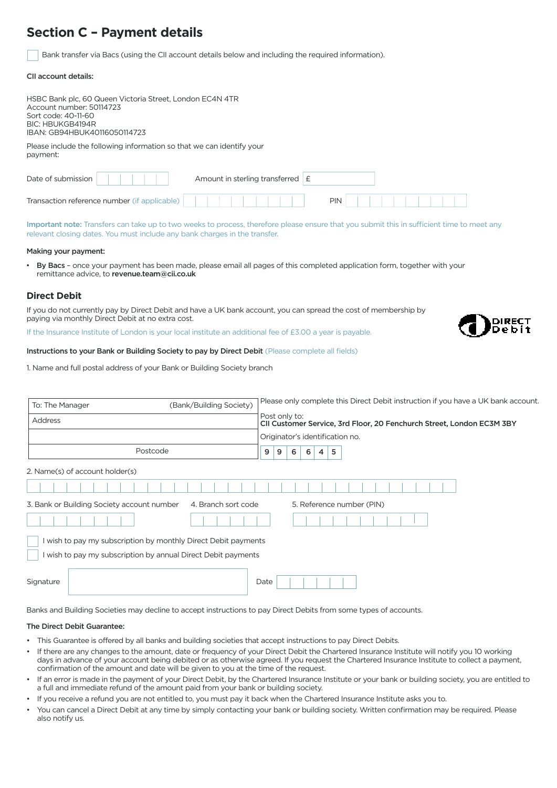# **Section C – Payment details**

Bank transfer via Bacs (using the CII account details below and including the required information).

#### CII account details:

| HSBC Bank plc, 60 Queen Victoria Street, London EC4N 4TR<br>Account number: 50114723<br>Sort code: 40-11-60<br>BIC: HBUKGB4194R<br>IBAN: GB94HBUK40116050114723 |            |
|-----------------------------------------------------------------------------------------------------------------------------------------------------------------|------------|
| Please include the following information so that we can identify your<br>payment:                                                                               |            |
| Date of submission<br>Amount in sterling transferred $E$                                                                                                        |            |
| Transaction reference number (if applicable)                                                                                                                    | <b>PIN</b> |

Important note: Transfers can take up to two weeks to process, therefore please ensure that you submit this in sufficient time to meet any relevant closing dates. You must include any bank charges in the transfer.

#### Making your payment:

• By Bacs – once your payment has been made, please email all pages of this completed application form, together with your remittance advice, to revenue.team@cii.co.uk

#### **Direct Debit**

If you do not currently pay by Direct Debit and have a UK bank account, you can spread the cost of membership by paying via monthly Direct Debit at no extra cost.

If the Insurance Institute of London is your local institute an additional fee of £3.00 a year is payable.

#### Instructions to your Bank or Building Society to pay by Direct Debit (Please complete all fields)

1. Name and full postal address of your Bank or Building Society branch

| (Bank/Building Society)<br>To: The Manager                                                                                  |                                 |  | Please only complete this Direct Debit instruction if you have a UK bank account       |   |                                 |   |   |   |  |  |  |  |
|-----------------------------------------------------------------------------------------------------------------------------|---------------------------------|--|----------------------------------------------------------------------------------------|---|---------------------------------|---|---|---|--|--|--|--|
| <b>Address</b>                                                                                                              |                                 |  | Post only to:<br>CII Customer Service, 3rd Floor, 20 Fenchurch Street, London EC3M 3BY |   |                                 |   |   |   |  |  |  |  |
|                                                                                                                             |                                 |  |                                                                                        |   | Originator's identification no. |   |   |   |  |  |  |  |
| Postcode                                                                                                                    |                                 |  | 9                                                                                      | 9 | 6                               | 6 | 4 | 5 |  |  |  |  |
|                                                                                                                             | 2. Name(s) of account holder(s) |  |                                                                                        |   |                                 |   |   |   |  |  |  |  |
|                                                                                                                             |                                 |  |                                                                                        |   |                                 |   |   |   |  |  |  |  |
| 3. Bank or Building Society account number<br>4. Branch sort code<br>5. Reference number (PIN)                              |                                 |  |                                                                                        |   |                                 |   |   |   |  |  |  |  |
| wish to pay my subscription by monthly Direct Debit payments<br>wish to pay my subscription by annual Direct Debit payments |                                 |  |                                                                                        |   |                                 |   |   |   |  |  |  |  |
| Signature                                                                                                                   |                                 |  | Date                                                                                   |   |                                 |   |   |   |  |  |  |  |

Banks and Building Societies may decline to accept instructions to pay Direct Debits from some types of accounts.

#### The Direct Debit Guarantee:

- This Guarantee is offered by all banks and building societies that accept instructions to pay Direct Debits.
- If there are any changes to the amount, date or frequency of your Direct Debit the Chartered Insurance Institute will notify you 10 working days in advance of your account being debited or as otherwise agreed. If you request the Chartered Insurance Institute to collect a payment, confirmation of the amount and date will be given to you at the time of the request.
- If an error is made in the payment of your Direct Debit, by the Chartered Insurance Institute or your bank or building society, you are entitled to a full and immediate refund of the amount paid from your bank or building society.
- If you receive a refund you are not entitled to, you must pay it back when the Chartered Insurance Institute asks you to.
- You can cancel a Direct Debit at any time by simply contacting your bank or building society. Written confirmation may be required. Please also notify us.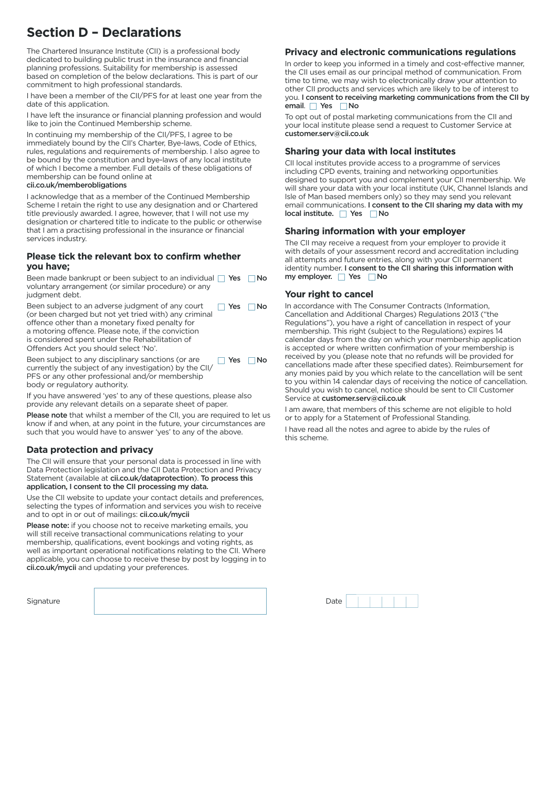# **Section D – Declarations**

The Chartered Insurance Institute (CII) is a professional body dedicated to building public trust in the insurance and financial planning professions. Suitability for membership is assessed based on completion of the below declarations. This is part of our commitment to high professional standards.

I have been a member of the CII/PFS for at least one year from the date of this application.

I have left the insurance or financial planning profession and would like to join the Continued Membership scheme.

In continuing my membership of the CII/PFS, I agree to be immediately bound by the CII's Charter, Bye-laws, Code of Ethics, rules, regulations and requirements of membership. I also agree to be bound by the constitution and bye-laws of any local institute of which I become a member. Full details of these obligations of membership can be found online at cii.co.uk/memberobligations

I acknowledge that as a member of the Continued Membership Scheme I retain the right to use any designation and or Chartered title previously awarded. I agree, however, that I will not use my designation or chartered title to indicate to the public or otherwise that I am a practising professional in the insurance or financial services industry.

### **Please tick the relevant box to confirm whether you have;**

Been made bankrupt or been subject to an individual Ves No voluntary arrangement (or similar procedure) or any judgment debt.

Been subject to an adverse judgment of any court (or been charged but not yet tried with) any criminal offence other than a monetary fixed penalty for a motoring offence. Please note, if the conviction is considered spent under the Rehabilitation of Offenders Act you should select 'No'.  $\Box$  Yes  $\Box$  No

Been subject to any disciplinary sanctions (or are currently the subject of any investigation) by the CII/ PFS or any other professional and/or membership body or regulatory authority.  $\Box$  Yes  $\Box$  No

If you have answered 'yes' to any of these questions, please also provide any relevant details on a separate sheet of paper.

Please note that whilst a member of the CII, you are required to let us know if and when, at any point in the future, your circumstances are such that you would have to answer 'yes' to any of the above.

## **Data protection and privacy**

The CII will ensure that your personal data is processed in line with Data Protection legislation and the CII Data Protection and Privacy Statement (available at **cii.co.uk/dataprotection). To process this** application, I consent to the CII processing my data.

Use the CII website to update your contact details and preferences, selecting the types of information and services you wish to receive and to opt in or out of mailings: cii.co.uk/mycii

Please note: if you choose not to receive marketing emails, you will still receive transactional communications relating to your membership, qualifications, event bookings and voting rights, as well as important operational notifications relating to the CII. Where applicable, you can choose to receive these by post by logging in to cii.co.uk/mycii and updating your preferences.

Signature Date Date (2001) Date of the Date of the Date of the Date of the Date of the Date of the Date of the

## **Privacy and electronic communications regulations**

In order to keep you informed in a timely and cost-effective manner, the CII uses email as our principal method of communication. From time to time, we may wish to electronically draw your attention to other CII products and services which are likely to be of interest to you. I consent to receiving marketing communications from the CII by email. Yes No

To opt out of postal marketing communications from the CII and your local institute please send a request to Customer Service at customer.serv@cii.co.uk

### **Sharing your data with local institutes**

CII local institutes provide access to a programme of services including CPD events, training and networking opportunities designed to support you and complement your CII membership. We will share your data with your local institute (UK, Channel Islands and Isle of Man based members only) so they may send you relevant email communications. I consent to the CII sharing my data with my  $local$  institute.  $\Box$  Yes  $\Box$  No

### **Sharing information with your employer**

The CII may receive a request from your employer to provide it with details of your assessment record and accreditation including all attempts and future entries, along with your CII permanent identity number. I consent to the CII sharing this information with my employer.  $\Box$  Yes  $\Box$  No

#### **Your right to cancel**

In accordance with The Consumer Contracts (Information, Cancellation and Additional Charges) Regulations 2013 ("the Regulations"), you have a right of cancellation in respect of your membership. This right (subject to the Regulations) expires 14 calendar days from the day on which your membership application is accepted or where written confirmation of your membership is received by you (please note that no refunds will be provided for cancellations made after these specified dates). Reimbursement for any monies paid by you which relate to the cancellation will be sent to you within 14 calendar days of receiving the notice of cancellation. Should you wish to cancel, notice should be sent to CII Customer Service at customer.serv@cii.co.uk

I am aware, that members of this scheme are not eligible to hold or to apply for a Statement of Professional Standing. I have read all the notes and agree to abide by the rules of this scheme.